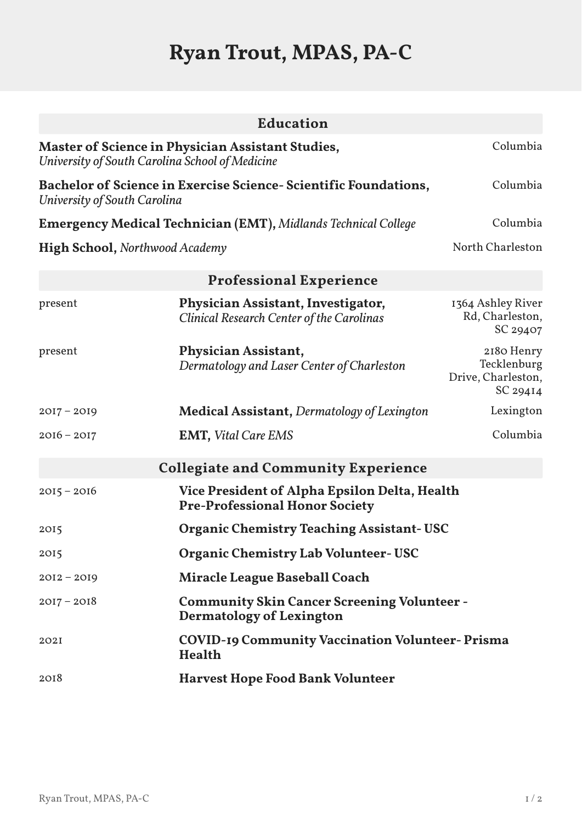## **Ryan Trout, MPAS, PA-C**

|                                       | Education                                                                                                   |                                                             |
|---------------------------------------|-------------------------------------------------------------------------------------------------------------|-------------------------------------------------------------|
|                                       | <b>Master of Science in Physician Assistant Studies,</b><br>University of South Carolina School of Medicine | Columbia                                                    |
| University of South Carolina          | Bachelor of Science in Exercise Science- Scientific Foundations,                                            | Columbia                                                    |
|                                       | <b>Emergency Medical Technician (EMT), Midlands Technical College</b>                                       | Columbia                                                    |
| <b>High School, Northwood Academy</b> |                                                                                                             | North Charleston                                            |
|                                       | <b>Professional Experience</b>                                                                              |                                                             |
| present                               | Physician Assistant, Investigator,<br><b>Clinical Research Center of the Carolinas</b>                      | 1364 Ashley River<br>Rd, Charleston,<br>SC 29407            |
| present                               | Physician Assistant,<br>Dermatology and Laser Center of Charleston                                          | 2180 Henry<br>Tecklenburg<br>Drive, Charleston,<br>SC 29414 |
| $2017 - 2019$                         | <b>Medical Assistant, Dermatology of Lexington</b>                                                          | Lexington                                                   |
| $2016 - 2017$                         | <b>EMT, Vital Care EMS</b>                                                                                  | Columbia                                                    |
|                                       | <b>Collegiate and Community Experience</b>                                                                  |                                                             |
| $2015 - 2016$                         | <b>Vice President of Alpha Epsilon Delta, Health</b><br><b>Pre-Professional Honor Society</b>               |                                                             |
| 2015                                  | <b>Organic Chemistry Teaching Assistant- USC</b>                                                            |                                                             |
| 2015                                  | <b>Organic Chemistry Lab Volunteer- USC</b>                                                                 |                                                             |
| $2012 - 2019$                         | <b>Miracle League Baseball Coach</b>                                                                        |                                                             |
| $2017 - 2018$                         | <b>Community Skin Cancer Screening Volunteer -</b><br><b>Dermatology of Lexington</b>                       |                                                             |
| 202I                                  | <b>COVID-19 Community Vaccination Volunteer-Prisma</b><br><b>Health</b>                                     |                                                             |
| 2018                                  | <b>Harvest Hope Food Bank Volunteer</b>                                                                     |                                                             |